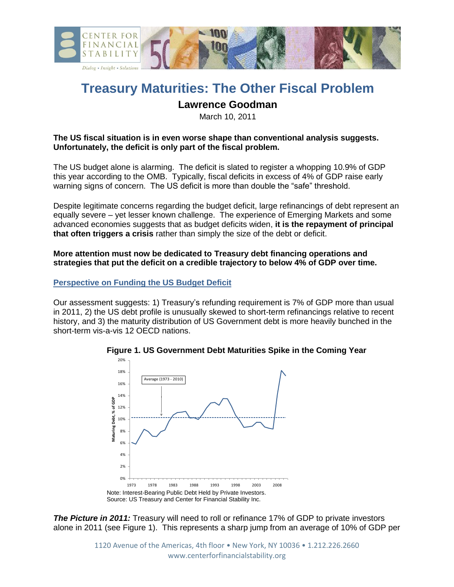

# **Treasury Maturities: The Other Fiscal Problem Lawrence Goodman**

March 10, 2011

# **The US fiscal situation is in even worse shape than conventional analysis suggests. Unfortunately, the deficit is only part of the fiscal problem.**

The US budget alone is alarming. The deficit is slated to register a whopping 10.9% of GDP this year according to the OMB. Typically, fiscal deficits in excess of 4% of GDP raise early warning signs of concern. The US deficit is more than double the "safe" threshold.

Despite legitimate concerns regarding the budget deficit, large refinancings of debt represent an equally severe – yet lesser known challenge. The experience of Emerging Markets and some advanced economies suggests that as budget deficits widen, **it is the repayment of principal that often triggers a crisis** rather than simply the size of the debt or deficit.

# **More attention must now be dedicated to Treasury debt financing operations and strategies that put the deficit on a credible trajectory to below 4% of GDP over time.**

# **Perspective on Funding the US Budget Deficit**

Our assessment suggests: 1) Treasury's refunding requirement is 7% of GDP more than usual in 2011, 2) the US debt profile is unusually skewed to short-term refinancings relative to recent history, and 3) the maturity distribution of US Government debt is more heavily bunched in the short-term vis-a-vis 12 OECD nations.



**Figure 1. US Government Debt Maturities Spike in the Coming Year**

**The Picture in 2011:** Treasury will need to roll or refinance 17% of GDP to private investors alone in 2011 (see Figure 1). This represents a sharp jump from an average of 10% of GDP per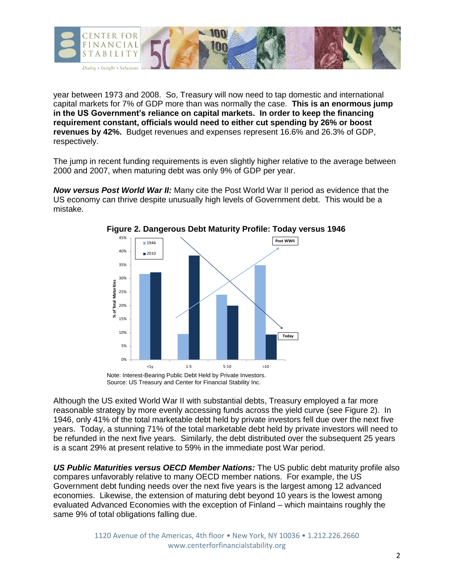

year between 1973 and 2008. So, Treasury will now need to tap domestic and international capital markets for 7% of GDP more than was normally the case. **This is an enormous jump in the US Government's reliance on capital markets. In order to keep the financing requirement constant, officials would need to either cut spending by 26% or boost revenues by 42%.** Budget revenues and expenses represent 16.6% and 26.3% of GDP, respectively.

The jump in recent funding requirements is even slightly higher relative to the average between 2000 and 2007, when maturing debt was only 9% of GDP per year.

*Now versus Post World War II:* Many cite the Post World War II period as evidence that the US economy can thrive despite unusually high levels of Government debt. This would be a mistake.



**Figure 2. Dangerous Debt Maturity Profile: Today versus 1946**

Source: US Treasury and Center for Financial Stability Inc.

Although the US exited World War II with substantial debts, Treasury employed a far more reasonable strategy by more evenly accessing funds across the yield curve (see Figure 2). In 1946, only 41% of the total marketable debt held by private investors fell due over the next five years. Today, a stunning 71% of the total marketable debt held by private investors will need to be refunded in the next five years. Similarly, the debt distributed over the subsequent 25 years is a scant 29% at present relative to 59% in the immediate post War period.

*US Public Maturities versus OECD Member Nations:* The US public debt maturity profile also compares unfavorably relative to many OECD member nations. For example, the US Government debt funding needs over the next five years is the largest among 12 advanced economies. Likewise, the extension of maturing debt beyond 10 years is the lowest among evaluated Advanced Economies with the exception of Finland – which maintains roughly the same 9% of total obligations falling due.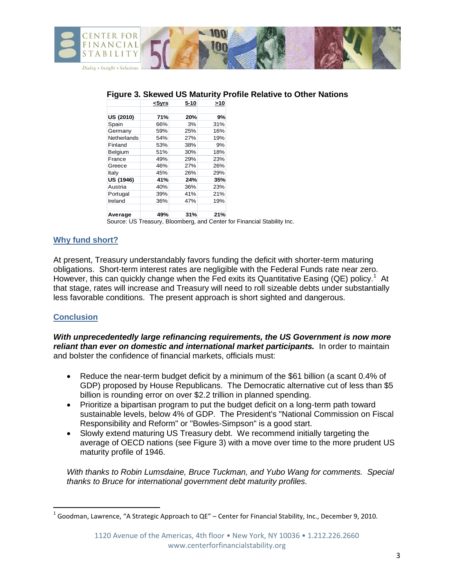

| 71% |     |     |
|-----|-----|-----|
|     |     |     |
|     | 20% | 9%  |
| 66% | 3%  | 31% |
| 59% | 25% | 16% |
| 54% | 27% | 19% |
| 53% | 38% | 9%  |
| 51% | 30% | 18% |
| 49% | 29% | 23% |
| 46% | 27% | 26% |
| 45% | 26% | 29% |
| 41% | 24% | 35% |
| 40% | 36% | 23% |
| 39% | 41% | 21% |
| 36% | 47% | 19% |
|     |     | 21% |
|     | 49% | 31% |

#### **File Relative to Other Nations**

Source: US Treasury, Bloomberg, and Center for Financial Stability Inc.

# **Why fund short?**

At present, Treasury understandably favors funding the deficit with shorter-term maturing obligations. Short-term interest rates are negligible with the Federal Funds rate near zero. However, this can quickly change when the Fed exits its Quantitative Easing (QE) policy.<sup>1</sup> At that stage, rates will increase and Treasury will need to roll sizeable debts under substantially less favorable conditions. The present approach is short sighted and dangerous.

# **Conclusion**

 $\overline{\phantom{a}}$ 

*With unprecedentedly large refinancing requirements, the US Government is now more reliant than ever on domestic and international market participants.* **In order to maintain** and bolster the confidence of financial markets, officials must:

- Reduce the near-term budget deficit by a minimum of the \$61 billion (a scant 0.4% of GDP) proposed by House Republicans. The Democratic alternative cut of less than \$5 billion is rounding error on over \$2.2 trillion in planned spending.
- Prioritize a bipartisan program to put the budget deficit on a long-term path toward sustainable levels, below 4% of GDP. The President's "National Commission on Fiscal Responsibility and Reform" or "Bowles-Simpson" is a good start.
- Slowly extend maturing US Treasury debt. We recommend initially targeting the average of OECD nations (see Figure 3) with a move over time to the more prudent US maturity profile of 1946.

*With thanks to Robin Lumsdaine, Bruce Tuckman, and Yubo Wang for comments. Special thanks to Bruce for international government debt maturity profiles.*

<sup>1</sup> Goodman, Lawrence, "A Strategic Approach to QE" – Center for Financial Stability, Inc., December 9, 2010.